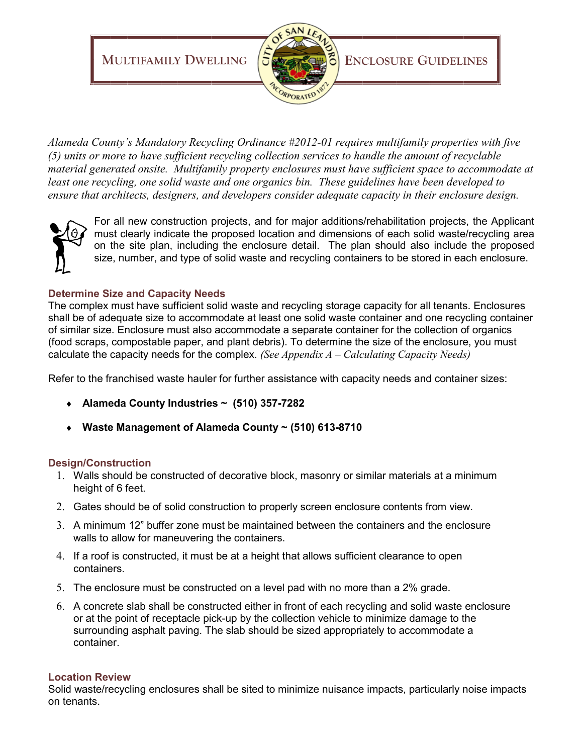**MULTIFAMILY DWELLING**  $5$ <sup>**</sup>** 



*Alameda County's Mandatory Recycling Ordinance #2012-01 requires multifamily properties with five (5) units or more to have sufficient recycling collection services to handle the amount of recyclable material generated onsite. Multifamily property enclosures must have sufficient space to accommodate at least one recycling, one solid waste and one organics bin. These guidelines have been developed to ensure that architects, designers, and developers consider adequate capacity in their enclosure design.* 



For all new construction projects, and for major additions/rehabilitation projects, the Applicant must clearly indicate the proposed location and dimensions of each solid waste/recycling area on the site plan, including the enclosure detail. The plan should also include the proposed size, number, and type of solid waste and recycling containers to be stored in each enclosure.

# **Determine Size and Capacity Needs**

The complex must have sufficient solid waste and recycling storage capacity for all tenants. Enclosures shall be of adequate size to accommodate at least one solid waste container and one recycling container of similar size. Enclosure must also accommodate a separate container for the collection of organics (food scraps, compostable paper, and plant debris). To determine the size of the enclosure, you must calculate the capacity needs for the complex. *(See Appendix A – Calculating Capacity Needs)*

Refer to the franchised waste hauler for further assistance with capacity needs and container sizes:

- **Alameda County Industries ~ (510) 357-7282**
- **Waste Management of Alameda County ~ (510) 613-8710**

# **Design/Construction**

- 1. Walls should be constructed of decorative block, masonry or similar materials at a minimum height of 6 feet.
- 2. Gates should be of solid construction to properly screen enclosure contents from view.
- 3. A minimum 12" buffer zone must be maintained between the containers and the enclosure walls to allow for maneuvering the containers.
- 4. If a roof is constructed, it must be at a height that allows sufficient clearance to open containers.
- 5. The enclosure must be constructed on a level pad with no more than a 2% grade.
- 6. A concrete slab shall be constructed either in front of each recycling and solid waste enclosure or at the point of receptacle pick-up by the collection vehicle to minimize damage to the surrounding asphalt paving. The slab should be sized appropriately to accommodate a container.

## **Location Review**

Solid waste/recycling enclosures shall be sited to minimize nuisance impacts, particularly noise impacts on tenants.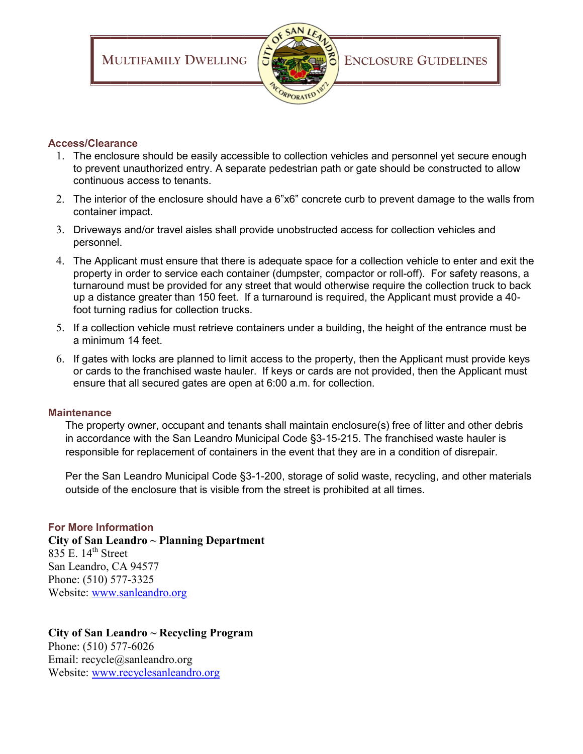



## **Access/Clearance**

- 1. The enclosure should be easily accessible to collection vehicles and personnel yet secure enough to prevent unauthorized entry. A separate pedestrian path or gate should be constructed to allow continuous access to tenants.
- 2. The interior of the enclosure should have a 6"x6" concrete curb to prevent damage to the walls from container impact.
- 3. Driveways and/or travel aisles shall provide unobstructed access for collection vehicles and personnel.
- 4. The Applicant must ensure that there is adequate space for a collection vehicle to enter and exit the property in order to service each container (dumpster, compactor or roll-off). For safety reasons, a turnaround must be provided for any street that would otherwise require the collection truck to back up a distance greater than 150 feet. If a turnaround is required, the Applicant must provide a 40 foot turning radius for collection trucks.
- 5. If a collection vehicle must retrieve containers under a building, the height of the entrance must be a minimum 14 feet.
- 6. If gates with locks are planned to limit access to the property, then the Applicant must provide keys or cards to the franchised waste hauler. If keys or cards are not provided, then the Applicant must ensure that all secured gates are open at 6:00 a.m. for collection.

## **Maintenance**

The property owner, occupant and tenants shall maintain enclosure(s) free of litter and other debris in accordance with the San Leandro Municipal Code §3-15-215. The franchised waste hauler is responsible for replacement of containers in the event that they are in a condition of disrepair.

Per the San Leandro Municipal Code §3-1-200, storage of solid waste, recycling, and other materials outside of the enclosure that is visible from the street is prohibited at all times.

## **For More Information**

# **City of San Leandro ~ Planning Department**  $835$  E.  $14<sup>th</sup>$  Street San Leandro, CA 94577 Phone: (510) 577-3325

Website: [www.sanleandro.org](http://www.sanleandro.org)

# **City of San Leandro ~ Recycling Program**

Phone: (510) 577-6026 Email: recycle@sanleandro.org Website: [www.recyclesanleandro.org](http://www.recyclesanleandro.org)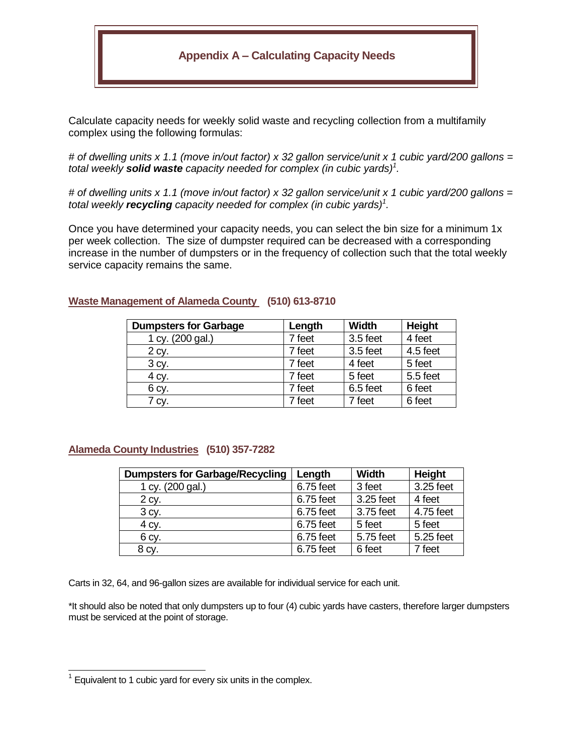# **Appendix A – Calculating Capacity Needs**

Calculate capacity needs for weekly solid waste and recycling collection from a multifamily complex using the following formulas:

*# of dwelling units x 1.1 (move in/out factor) x 32 gallon service/unit x 1 cubic yard/200 gallons = total weekly solid waste capacity needed for complex (in cubic yards)<sup>1</sup> .* 

*# of dwelling units x 1.1 (move in/out factor) x 32 gallon service/unit x 1 cubic yard/200 gallons = total weekly recycling capacity needed for complex (in cubic yards)<sup>1</sup> .* 

Once you have determined your capacity needs, you can select the bin size for a minimum 1x per week collection. The size of dumpster required can be decreased with a corresponding increase in the number of dumpsters or in the frequency of collection such that the total weekly service capacity remains the same.

| <b>Dumpsters for Garbage</b> | Length | <b>Width</b> | <b>Height</b> |
|------------------------------|--------|--------------|---------------|
| 1 cy. (200 gal.)             | 7 feet | 3.5 feet     | 4 feet        |
| 2 cy.                        | 7 feet | 3.5 feet     | 4.5 feet      |
| 3 cy.                        | 7 feet | 4 feet       | 5 feet        |
| 4 cy.                        | 7 feet | 5 feet       | 5.5 feet      |
| 6 cy.                        | 7 feet | 6.5 feet     | 6 feet        |
| $7$ Cy.                      | 7 feet | 7 feet       | 6 feet        |

#### **Waste Management of Alameda County (510) 613-8710**

#### **Alameda County Industries (510) 357-7282**

| <b>Dumpsters for Garbage/Recycling</b> | Length    | <b>Width</b> | <b>Height</b> |
|----------------------------------------|-----------|--------------|---------------|
| 1 cy. (200 gal.)                       | 6.75 feet | 3 feet       | 3.25 feet     |
| 2 cy.                                  | 6.75 feet | 3.25 feet    | 4 feet        |
| 3 cy.                                  | 6.75 feet | 3.75 feet    | 4.75 feet     |
| 4 cy.                                  | 6.75 feet | 5 feet       | 5 feet        |
| 6 cy.                                  | 6.75 feet | 5.75 feet    | 5.25 feet     |
| 8 cy.                                  | 6.75 feet | 6 feet       | 7 feet        |

Carts in 32, 64, and 96-gallon sizes are available for individual service for each unit.

\*It should also be noted that only dumpsters up to four (4) cubic yards have casters, therefore larger dumpsters must be serviced at the point of storage.

l

<sup>1</sup> Equivalent to 1 cubic yard for every six units in the complex.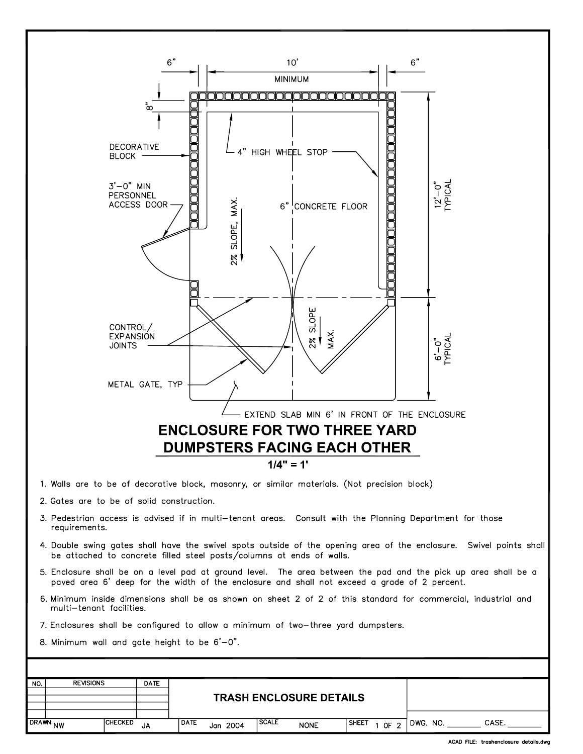